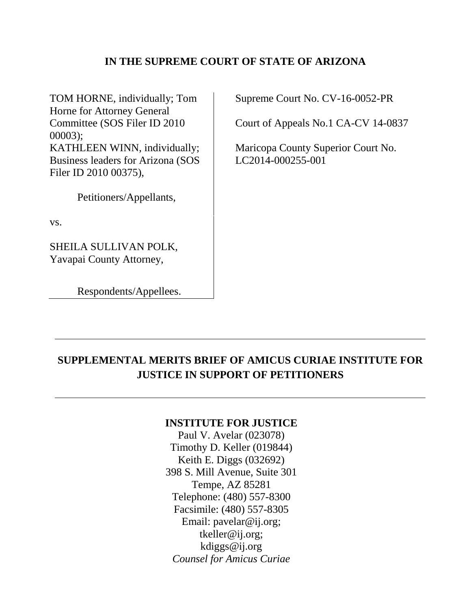## **IN THE SUPREME COURT OF STATE OF ARIZONA**

TOM HORNE, individually; Tom Horne for Attorney General Committee (SOS Filer ID 2010 00003); KATHLEEN WINN, individually; Business leaders for Arizona (SOS Filer ID 2010 00375),

Petitioners/Appellants,

vs.

SHEILA SULLIVAN POLK, Yavapai County Attorney,

Respondents/Appellees.

Supreme Court No. CV-16-0052-PR

Court of Appeals No.1 CA-CV 14-0837

Maricopa County Superior Court No. LC2014-000255-001

## **SUPPLEMENTAL MERITS BRIEF OF AMICUS CURIAE INSTITUTE FOR JUSTICE IN SUPPORT OF PETITIONERS**

### **INSTITUTE FOR JUSTICE**

Paul V. Avelar (023078) Timothy D. Keller (019844) Keith E. Diggs (032692) 398 S. Mill Avenue, Suite 301 Tempe, AZ 85281 Telephone: (480) 557-8300 Facsimile: (480) 557-8305 Email: pavelar@ij.org; tkeller@ij.org; kdiggs@ij.org *Counsel for Amicus Curiae*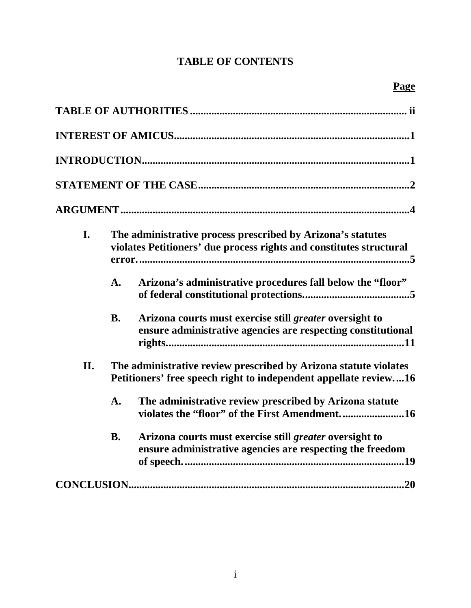## **TABLE OF CONTENTS**

| I.  |           | The administrative process prescribed by Arizona's statutes<br>violates Petitioners' due process rights and constitutes structural   |
|-----|-----------|--------------------------------------------------------------------------------------------------------------------------------------|
|     | A.        | Arizona's administrative procedures fall below the "floor"                                                                           |
|     | <b>B.</b> | Arizona courts must exercise still greater oversight to<br>ensure administrative agencies are respecting constitutional              |
| II. |           | The administrative review prescribed by Arizona statute violates<br>Petitioners' free speech right to independent appellate review16 |
|     | A.        | The administrative review prescribed by Arizona statute<br>violates the "floor" of the First Amendment16                             |
|     | <b>B.</b> | Arizona courts must exercise still greater oversight to<br>ensure administrative agencies are respecting the freedom                 |
|     |           |                                                                                                                                      |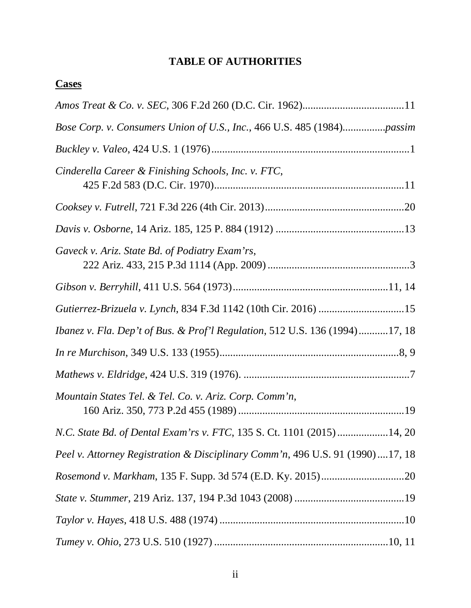## **TABLE OF AUTHORITIES**

# **Cases**

| Bose Corp. v. Consumers Union of U.S., Inc., 466 U.S. 485 (1984)passim        |
|-------------------------------------------------------------------------------|
|                                                                               |
| Cinderella Career & Finishing Schools, Inc. v. FTC,                           |
|                                                                               |
|                                                                               |
| Gaveck v. Ariz. State Bd. of Podiatry Exam'rs,                                |
|                                                                               |
|                                                                               |
| Ibanez v. Fla. Dep't of Bus. & Prof'l Regulation, 512 U.S. 136 (1994)17, 18   |
|                                                                               |
|                                                                               |
| Mountain States Tel. & Tel. Co. v. Ariz. Corp. Comm'n,                        |
| N.C. State Bd. of Dental Exam'rs v. FTC, 135 S. Ct. 1101 (2015) 14, 20        |
| Peel v. Attorney Registration & Disciplinary Comm'n, 496 U.S. 91 (1990)17, 18 |
|                                                                               |
|                                                                               |
|                                                                               |
|                                                                               |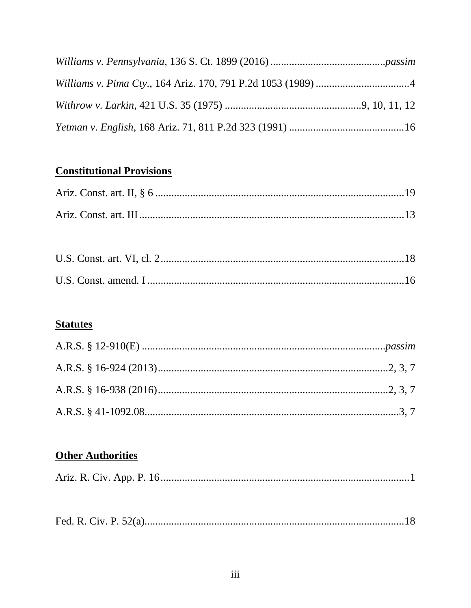# **Constitutional Provisions**

## **Statutes**

# **Other Authorities**

|--|--|--|--|--|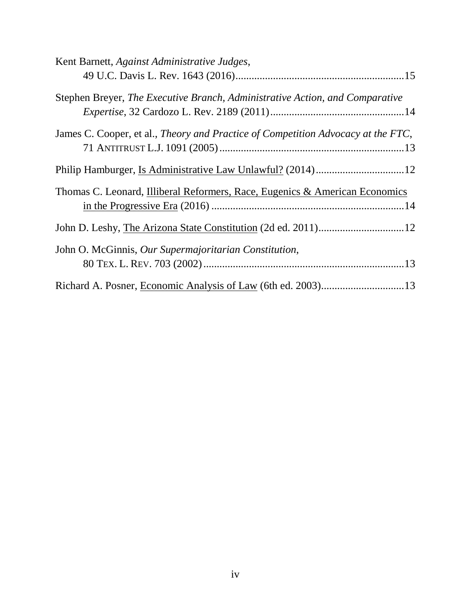| Kent Barnett, Against Administrative Judges,                                     |
|----------------------------------------------------------------------------------|
|                                                                                  |
| Stephen Breyer, The Executive Branch, Administrative Action, and Comparative     |
| James C. Cooper, et al., Theory and Practice of Competition Advocacy at the FTC, |
|                                                                                  |
| Thomas C. Leonard, Illiberal Reformers, Race, Eugenics & American Economics      |
|                                                                                  |
| John O. McGinnis, Our Supermajoritarian Constitution,                            |
|                                                                                  |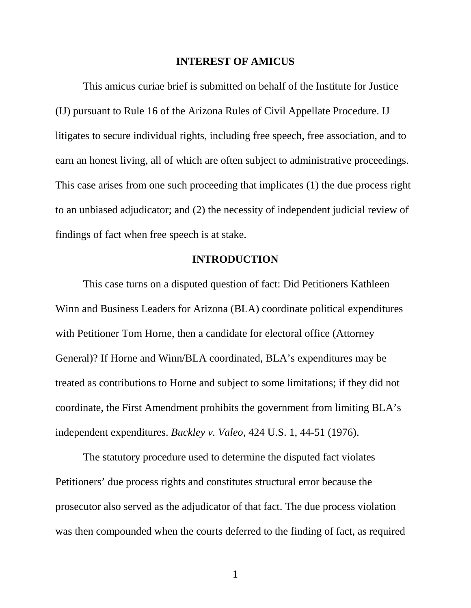#### **INTEREST OF AMICUS**

This amicus curiae brief is submitted on behalf of the Institute for Justice (IJ) pursuant to Rule 16 of the Arizona Rules of Civil Appellate Procedure. IJ litigates to secure individual rights, including free speech, free association, and to earn an honest living, all of which are often subject to administrative proceedings. This case arises from one such proceeding that implicates (1) the due process right to an unbiased adjudicator; and (2) the necessity of independent judicial review of findings of fact when free speech is at stake.

#### **INTRODUCTION**

This case turns on a disputed question of fact: Did Petitioners Kathleen Winn and Business Leaders for Arizona (BLA) coordinate political expenditures with Petitioner Tom Horne, then a candidate for electoral office (Attorney General)? If Horne and Winn/BLA coordinated, BLA's expenditures may be treated as contributions to Horne and subject to some limitations; if they did not coordinate, the First Amendment prohibits the government from limiting BLA's independent expenditures. *Buckley v. Valeo*, 424 U.S. 1, 44-51 (1976).

The statutory procedure used to determine the disputed fact violates Petitioners' due process rights and constitutes structural error because the prosecutor also served as the adjudicator of that fact. The due process violation was then compounded when the courts deferred to the finding of fact, as required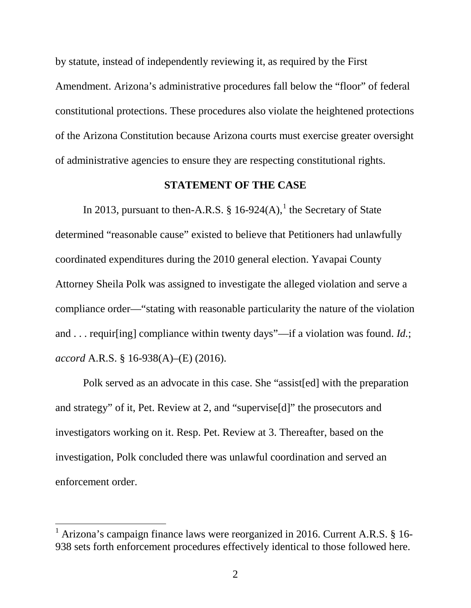by statute, instead of independently reviewing it, as required by the First Amendment. Arizona's administrative procedures fall below the "floor" of federal constitutional protections. These procedures also violate the heightened protections of the Arizona Constitution because Arizona courts must exercise greater oversight of administrative agencies to ensure they are respecting constitutional rights.

#### **STATEMENT OF THE CASE**

In 20[1](#page-6-0)3, pursuant to then-A.R.S.  $\S$  16-924(A),<sup>1</sup> the Secretary of State determined "reasonable cause" existed to believe that Petitioners had unlawfully coordinated expenditures during the 2010 general election. Yavapai County Attorney Sheila Polk was assigned to investigate the alleged violation and serve a compliance order—"stating with reasonable particularity the nature of the violation and . . . requir[ing] compliance within twenty days"—if a violation was found. *Id.*; *accord* A.R.S. § 16-938(A)–(E) (2016).

Polk served as an advocate in this case. She "assist[ed] with the preparation and strategy" of it, Pet. Review at 2, and "supervise[d]" the prosecutors and investigators working on it. Resp. Pet. Review at 3. Thereafter, based on the investigation, Polk concluded there was unlawful coordination and served an enforcement order.

<span id="page-6-0"></span><sup>&</sup>lt;sup>1</sup> Arizona's campaign finance laws were reorganized in 2016. Current A.R.S. § 16-938 sets forth enforcement procedures effectively identical to those followed here.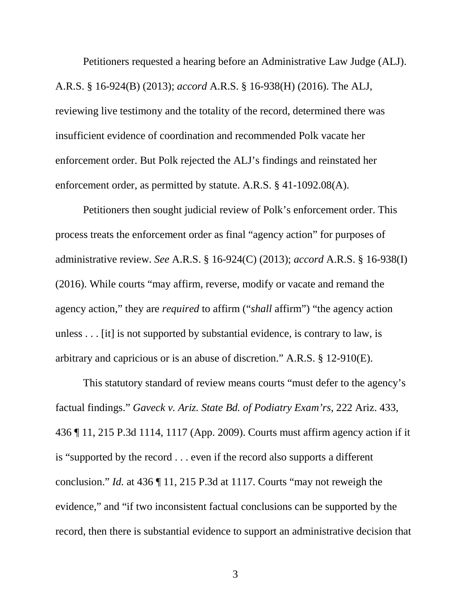Petitioners requested a hearing before an Administrative Law Judge (ALJ). A.R.S. § 16-924(B) (2013); *accord* A.R.S. § 16-938(H) (2016). The ALJ, reviewing live testimony and the totality of the record, determined there was insufficient evidence of coordination and recommended Polk vacate her enforcement order. But Polk rejected the ALJ's findings and reinstated her enforcement order, as permitted by statute. A.R.S. § 41-1092.08(A).

Petitioners then sought judicial review of Polk's enforcement order. This process treats the enforcement order as final "agency action" for purposes of administrative review. *See* A.R.S. § 16-924(C) (2013); *accord* A.R.S. § 16-938(I) (2016). While courts "may affirm, reverse, modify or vacate and remand the agency action," they are *required* to affirm ("*shall* affirm") "the agency action unless . . . [it] is not supported by substantial evidence, is contrary to law, is arbitrary and capricious or is an abuse of discretion." A.R.S. § 12-910(E).

This statutory standard of review means courts "must defer to the agency's factual findings." *Gaveck v. Ariz. State Bd. of Podiatry Exam'rs*, 222 Ariz. 433, 436 ¶ 11, 215 P.3d 1114, 1117 (App. 2009). Courts must affirm agency action if it is "supported by the record . . . even if the record also supports a different conclusion." *Id.* at 436 ¶ 11, 215 P.3d at 1117. Courts "may not reweigh the evidence," and "if two inconsistent factual conclusions can be supported by the record, then there is substantial evidence to support an administrative decision that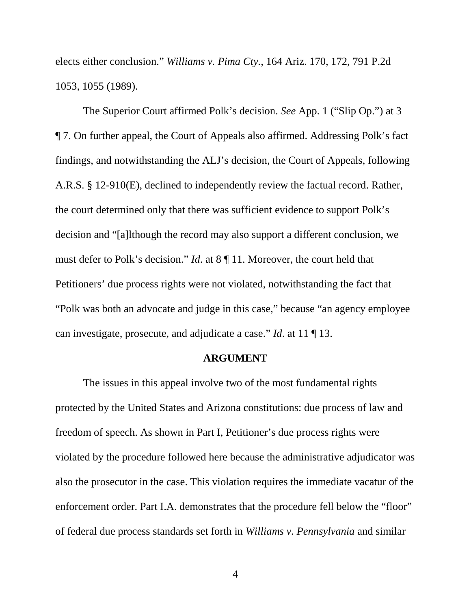elects either conclusion." *Williams v. Pima Cty.*, 164 Ariz. 170, 172, 791 P.2d 1053, 1055 (1989).

The Superior Court affirmed Polk's decision. *See* App. 1 ("Slip Op.") at 3 ¶ 7. On further appeal, the Court of Appeals also affirmed. Addressing Polk's fact findings, and notwithstanding the ALJ's decision, the Court of Appeals, following A.R.S. § 12-910(E), declined to independently review the factual record. Rather, the court determined only that there was sufficient evidence to support Polk's decision and "[a]lthough the record may also support a different conclusion, we must defer to Polk's decision." *Id*. at 8 ¶ 11. Moreover, the court held that Petitioners' due process rights were not violated, notwithstanding the fact that "Polk was both an advocate and judge in this case," because "an agency employee can investigate, prosecute, and adjudicate a case." *Id*. at 11 ¶ 13.

#### **ARGUMENT**

The issues in this appeal involve two of the most fundamental rights protected by the United States and Arizona constitutions: due process of law and freedom of speech. As shown in Part I, Petitioner's due process rights were violated by the procedure followed here because the administrative adjudicator was also the prosecutor in the case. This violation requires the immediate vacatur of the enforcement order. Part I.A. demonstrates that the procedure fell below the "floor" of federal due process standards set forth in *Williams v. Pennsylvania* and similar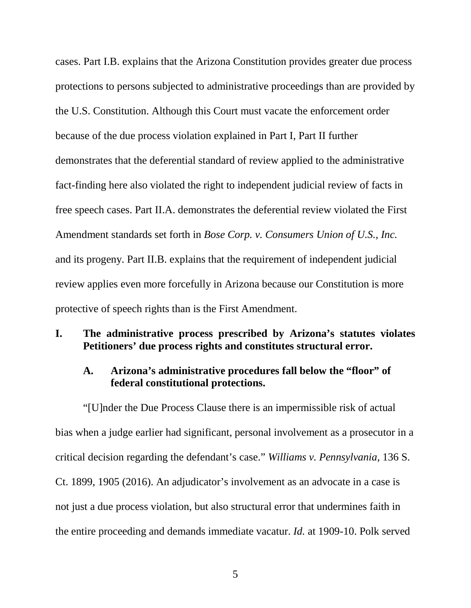cases. Part I.B. explains that the Arizona Constitution provides greater due process protections to persons subjected to administrative proceedings than are provided by the U.S. Constitution. Although this Court must vacate the enforcement order because of the due process violation explained in Part I, Part II further demonstrates that the deferential standard of review applied to the administrative fact-finding here also violated the right to independent judicial review of facts in free speech cases. Part II.A. demonstrates the deferential review violated the First Amendment standards set forth in *Bose Corp. v. Consumers Union of U.S., Inc.* and its progeny. Part II.B. explains that the requirement of independent judicial review applies even more forcefully in Arizona because our Constitution is more protective of speech rights than is the First Amendment.

## **I. The administrative process prescribed by Arizona's statutes violates Petitioners' due process rights and constitutes structural error.**

## **A. Arizona's administrative procedures fall below the "floor" of federal constitutional protections.**

"[U]nder the Due Process Clause there is an impermissible risk of actual bias when a judge earlier had significant, personal involvement as a prosecutor in a critical decision regarding the defendant's case." *Williams v. Pennsylvania*, 136 S. Ct. 1899, 1905 (2016). An adjudicator's involvement as an advocate in a case is not just a due process violation, but also structural error that undermines faith in the entire proceeding and demands immediate vacatur. *Id.* at 1909-10. Polk served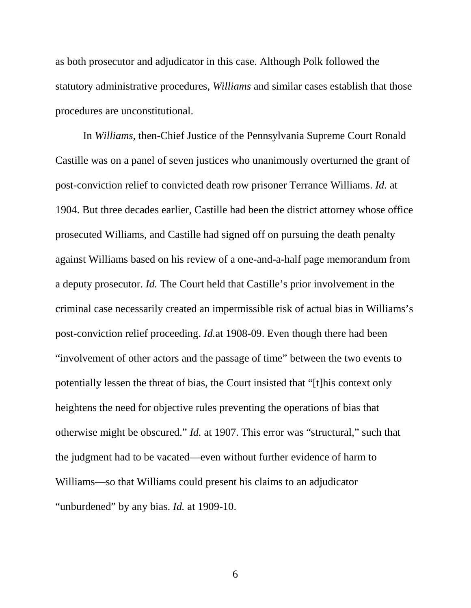as both prosecutor and adjudicator in this case. Although Polk followed the statutory administrative procedures, *Williams* and similar cases establish that those procedures are unconstitutional.

In *Williams*, then-Chief Justice of the Pennsylvania Supreme Court Ronald Castille was on a panel of seven justices who unanimously overturned the grant of post-conviction relief to convicted death row prisoner Terrance Williams. *Id.* at 1904. But three decades earlier, Castille had been the district attorney whose office prosecuted Williams, and Castille had signed off on pursuing the death penalty against Williams based on his review of a one-and-a-half page memorandum from a deputy prosecutor. *Id.* The Court held that Castille's prior involvement in the criminal case necessarily created an impermissible risk of actual bias in Williams's post-conviction relief proceeding. *Id.*at 1908-09. Even though there had been "involvement of other actors and the passage of time" between the two events to potentially lessen the threat of bias, the Court insisted that "[t]his context only heightens the need for objective rules preventing the operations of bias that otherwise might be obscured." *Id.* at 1907. This error was "structural," such that the judgment had to be vacated—even without further evidence of harm to Williams—so that Williams could present his claims to an adjudicator "unburdened" by any bias. *Id.* at 1909-10.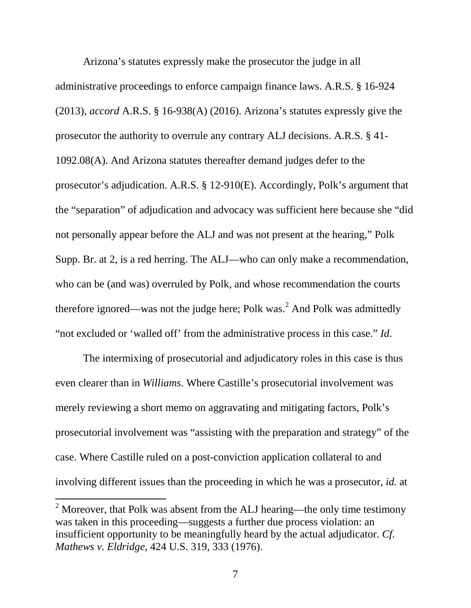Arizona's statutes expressly make the prosecutor the judge in all administrative proceedings to enforce campaign finance laws. A.R.S. § 16-924 (2013), *accord* A.R.S. § 16-938(A) (2016). Arizona's statutes expressly give the prosecutor the authority to overrule any contrary ALJ decisions. A.R.S. § 41- 1092.08(A). And Arizona statutes thereafter demand judges defer to the prosecutor's adjudication. A.R.S. § 12-910(E). Accordingly, Polk's argument that the "separation" of adjudication and advocacy was sufficient here because she "did not personally appear before the ALJ and was not present at the hearing," Polk Supp. Br. at 2, is a red herring. The ALJ—who can only make a recommendation, who can be (and was) overruled by Polk, and whose recommendation the courts therefore ignored—was not the judge here; Polk was.<sup>[2](#page-11-0)</sup> And Polk was admittedly "not excluded or 'walled off' from the administrative process in this case." *Id*.

The intermixing of prosecutorial and adjudicatory roles in this case is thus even clearer than in *Williams*. Where Castille's prosecutorial involvement was merely reviewing a short memo on aggravating and mitigating factors, Polk's prosecutorial involvement was "assisting with the preparation and strategy" of the case. Where Castille ruled on a post-conviction application collateral to and involving different issues than the proceeding in which he was a prosecutor, *id.* at

<span id="page-11-0"></span> $2$  Moreover, that Polk was absent from the ALJ hearing—the only time testimony was taken in this proceeding—suggests a further due process violation: an insufficient opportunity to be meaningfully heard by the actual adjudicator. *Cf. Mathews v. Eldridge*, 424 U.S. 319, 333 (1976).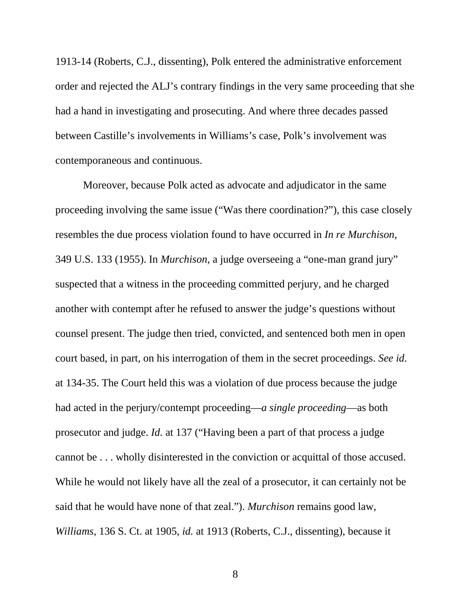1913-14 (Roberts, C.J., dissenting), Polk entered the administrative enforcement order and rejected the ALJ's contrary findings in the very same proceeding that she had a hand in investigating and prosecuting. And where three decades passed between Castille's involvements in Williams's case, Polk's involvement was contemporaneous and continuous.

Moreover, because Polk acted as advocate and adjudicator in the same proceeding involving the same issue ("Was there coordination?"), this case closely resembles the due process violation found to have occurred in *In re Murchison*, 349 U.S. 133 (1955). In *Murchison*, a judge overseeing a "one-man grand jury" suspected that a witness in the proceeding committed perjury, and he charged another with contempt after he refused to answer the judge's questions without counsel present. The judge then tried, convicted, and sentenced both men in open court based, in part, on his interrogation of them in the secret proceedings. *See id*. at 134-35. The Court held this was a violation of due process because the judge had acted in the perjury/contempt proceeding—*a single proceeding*—as both prosecutor and judge. *Id.* at 137 ("Having been a part of that process a judge cannot be . . . wholly disinterested in the conviction or acquittal of those accused. While he would not likely have all the zeal of a prosecutor, it can certainly not be said that he would have none of that zeal."). *Murchison* remains good law, *Williams*, 136 S. Ct. at 1905, *id.* at 1913 (Roberts, C.J., dissenting), because it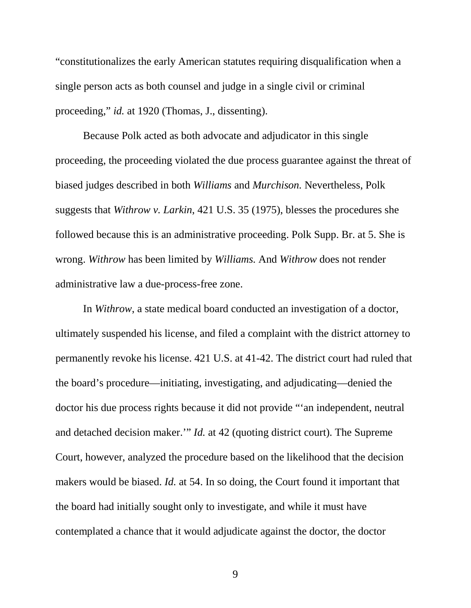"constitutionalizes the early American statutes requiring disqualification when a single person acts as both counsel and judge in a single civil or criminal proceeding," *id.* at 1920 (Thomas, J., dissenting).

Because Polk acted as both advocate and adjudicator in this single proceeding, the proceeding violated the due process guarantee against the threat of biased judges described in both *Williams* and *Murchison.* Nevertheless, Polk suggests that *Withrow v. Larkin*, 421 U.S. 35 (1975), blesses the procedures she followed because this is an administrative proceeding. Polk Supp. Br. at 5. She is wrong. *Withrow* has been limited by *Williams.* And *Withrow* does not render administrative law a due-process-free zone.

In *Withrow*, a state medical board conducted an investigation of a doctor, ultimately suspended his license, and filed a complaint with the district attorney to permanently revoke his license. 421 U.S. at 41-42. The district court had ruled that the board's procedure—initiating, investigating, and adjudicating—denied the doctor his due process rights because it did not provide "'an independent, neutral and detached decision maker.'" *Id.* at 42 (quoting district court). The Supreme Court, however, analyzed the procedure based on the likelihood that the decision makers would be biased. *Id.* at 54. In so doing, the Court found it important that the board had initially sought only to investigate, and while it must have contemplated a chance that it would adjudicate against the doctor, the doctor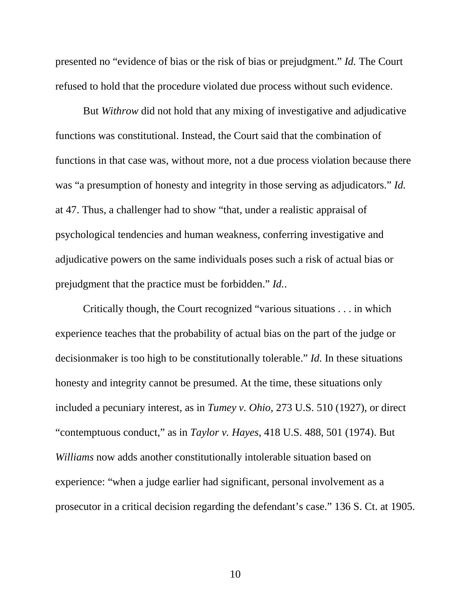presented no "evidence of bias or the risk of bias or prejudgment." *Id.* The Court refused to hold that the procedure violated due process without such evidence.

But *Withrow* did not hold that any mixing of investigative and adjudicative functions was constitutional. Instead, the Court said that the combination of functions in that case was, without more, not a due process violation because there was "a presumption of honesty and integrity in those serving as adjudicators." *Id.* at 47. Thus, a challenger had to show "that, under a realistic appraisal of psychological tendencies and human weakness, conferring investigative and adjudicative powers on the same individuals poses such a risk of actual bias or prejudgment that the practice must be forbidden." *Id.*.

Critically though, the Court recognized "various situations . . . in which experience teaches that the probability of actual bias on the part of the judge or decisionmaker is too high to be constitutionally tolerable." *Id.* In these situations honesty and integrity cannot be presumed. At the time, these situations only included a pecuniary interest, as in *Tumey v. Ohio*, 273 U.S. 510 (1927), or direct "contemptuous conduct," as in *Taylor v. Hayes*, 418 U.S. 488, 501 (1974). But *Williams* now adds another constitutionally intolerable situation based on experience: "when a judge earlier had significant, personal involvement as a prosecutor in a critical decision regarding the defendant's case." 136 S. Ct. at 1905.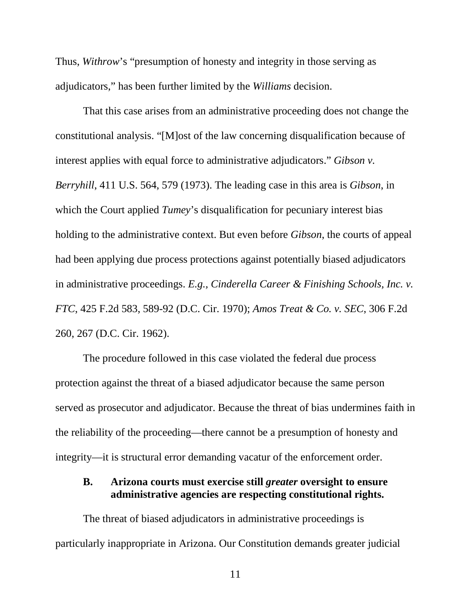Thus, *Withrow*'s "presumption of honesty and integrity in those serving as adjudicators," has been further limited by the *Williams* decision.

That this case arises from an administrative proceeding does not change the constitutional analysis. "[M]ost of the law concerning disqualification because of interest applies with equal force to administrative adjudicators." *Gibson v. Berryhill*, 411 U.S. 564, 579 (1973). The leading case in this area is *Gibson*, in which the Court applied *Tumey*'s disqualification for pecuniary interest bias holding to the administrative context. But even before *Gibson*, the courts of appeal had been applying due process protections against potentially biased adjudicators in administrative proceedings. *E.g., Cinderella Career & Finishing Schools, Inc. v. FTC*, 425 F.2d 583, 589-92 (D.C. Cir. 1970); *Amos Treat & Co. v. SEC*, 306 F.2d 260, 267 (D.C. Cir. 1962).

The procedure followed in this case violated the federal due process protection against the threat of a biased adjudicator because the same person served as prosecutor and adjudicator. Because the threat of bias undermines faith in the reliability of the proceeding—there cannot be a presumption of honesty and integrity—it is structural error demanding vacatur of the enforcement order.

## **B. Arizona courts must exercise still** *greater* **oversight to ensure administrative agencies are respecting constitutional rights.**

The threat of biased adjudicators in administrative proceedings is particularly inappropriate in Arizona. Our Constitution demands greater judicial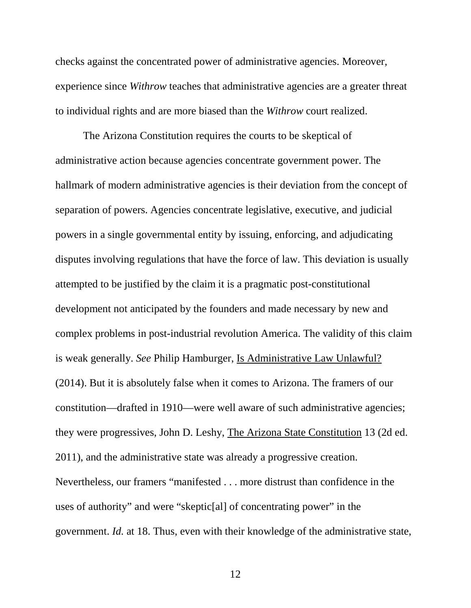checks against the concentrated power of administrative agencies. Moreover, experience since *Withrow* teaches that administrative agencies are a greater threat to individual rights and are more biased than the *Withrow* court realized.

The Arizona Constitution requires the courts to be skeptical of administrative action because agencies concentrate government power. The hallmark of modern administrative agencies is their deviation from the concept of separation of powers. Agencies concentrate legislative, executive, and judicial powers in a single governmental entity by issuing, enforcing, and adjudicating disputes involving regulations that have the force of law. This deviation is usually attempted to be justified by the claim it is a pragmatic post-constitutional development not anticipated by the founders and made necessary by new and complex problems in post-industrial revolution America. The validity of this claim is weak generally. *See* Philip Hamburger, Is Administrative Law Unlawful? (2014). But it is absolutely false when it comes to Arizona. The framers of our constitution—drafted in 1910—were well aware of such administrative agencies; they were progressives, John D. Leshy, The Arizona State Constitution 13 (2d ed. 2011), and the administrative state was already a progressive creation. Nevertheless, our framers "manifested . . . more distrust than confidence in the uses of authority" and were "skeptic[al] of concentrating power" in the government. *Id.* at 18. Thus, even with their knowledge of the administrative state,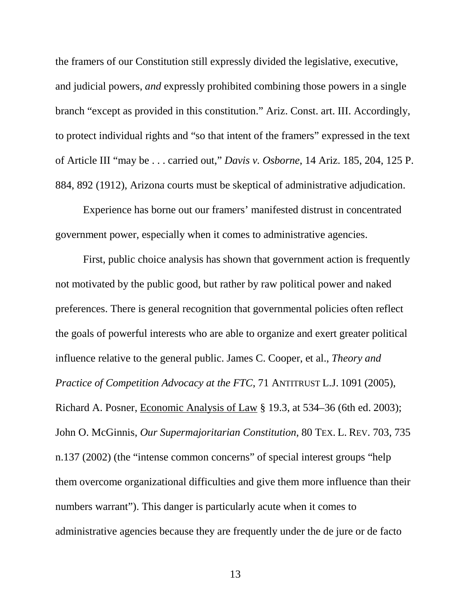the framers of our Constitution still expressly divided the legislative, executive, and judicial powers, *and* expressly prohibited combining those powers in a single branch "except as provided in this constitution." Ariz. Const. art. III. Accordingly, to protect individual rights and "so that intent of the framers" expressed in the text of Article III "may be . . . carried out," *Davis v. Osborne*, 14 Ariz. 185, 204, 125 P. 884, 892 (1912), Arizona courts must be skeptical of administrative adjudication.

Experience has borne out our framers' manifested distrust in concentrated government power, especially when it comes to administrative agencies.

First, public choice analysis has shown that government action is frequently not motivated by the public good, but rather by raw political power and naked preferences. There is general recognition that governmental policies often reflect the goals of powerful interests who are able to organize and exert greater political influence relative to the general public. James C. Cooper, et al., *Theory and Practice of Competition Advocacy at the FTC*, 71 ANTITRUST L.J. 1091 (2005), Richard A. Posner, Economic Analysis of Law § 19.3, at 534–36 (6th ed. 2003); John O. McGinnis, *Our Supermajoritarian Constitution*, 80 TEX. L. REV. 703, 735 n.137 (2002) (the "intense common concerns" of special interest groups "help them overcome organizational difficulties and give them more influence than their numbers warrant"). This danger is particularly acute when it comes to administrative agencies because they are frequently under the de jure or de facto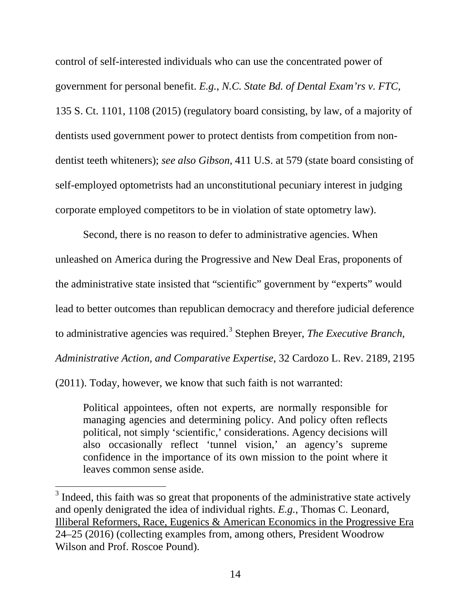control of self-interested individuals who can use the concentrated power of government for personal benefit. *E.g.*, *N.C. State Bd. of Dental Exam'rs v. FTC*, 135 S. Ct. 1101, 1108 (2015) (regulatory board consisting, by law, of a majority of dentists used government power to protect dentists from competition from nondentist teeth whiteners); *see also Gibson*, 411 U.S. at 579 (state board consisting of self-employed optometrists had an unconstitutional pecuniary interest in judging corporate employed competitors to be in violation of state optometry law).

Second, there is no reason to defer to administrative agencies. When unleashed on America during the Progressive and New Deal Eras, proponents of the administrative state insisted that "scientific" government by "experts" would lead to better outcomes than republican democracy and therefore judicial deference to administrative agencies was required. [3](#page-18-0) Stephen Breyer, *The Executive Branch, Administrative Action, and Comparative Expertise*, 32 Cardozo L. Rev. 2189, 2195

(2011). Today, however, we know that such faith is not warranted:

Political appointees, often not experts, are normally responsible for managing agencies and determining policy. And policy often reflects political, not simply 'scientific,' considerations. Agency decisions will also occasionally reflect 'tunnel vision,' an agency's supreme confidence in the importance of its own mission to the point where it leaves common sense aside.

<span id="page-18-0"></span><sup>&</sup>lt;sup>3</sup> Indeed, this faith was so great that proponents of the administrative state actively and openly denigrated the idea of individual rights. *E.g.*, Thomas C. Leonard, Illiberal Reformers, Race, Eugenics & American Economics in the Progressive Era 24–25 (2016) (collecting examples from, among others, President Woodrow Wilson and Prof. Roscoe Pound).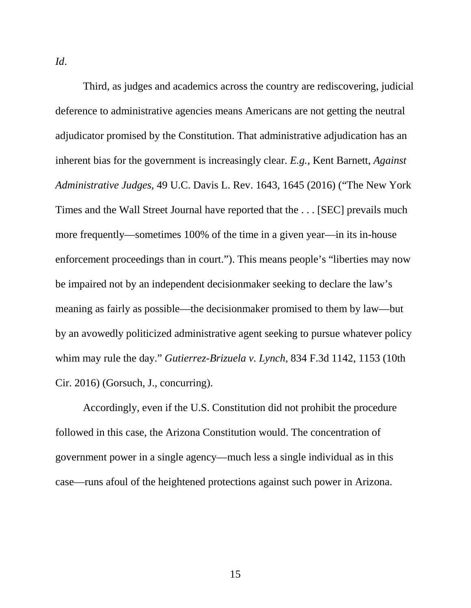*Id*.

Third, as judges and academics across the country are rediscovering, judicial deference to administrative agencies means Americans are not getting the neutral adjudicator promised by the Constitution. That administrative adjudication has an inherent bias for the government is increasingly clear. *E.g.*, Kent Barnett, *Against Administrative Judges*, 49 U.C. Davis L. Rev. 1643, 1645 (2016) ("The New York Times and the Wall Street Journal have reported that the . . . [SEC] prevails much more frequently—sometimes 100% of the time in a given year—in its in-house enforcement proceedings than in court."). This means people's "liberties may now be impaired not by an independent decisionmaker seeking to declare the law's meaning as fairly as possible—the decisionmaker promised to them by law—but by an avowedly politicized administrative agent seeking to pursue whatever policy whim may rule the day." *Gutierrez-Brizuela v. Lynch*, 834 F.3d 1142, 1153 (10th Cir. 2016) (Gorsuch, J., concurring).

Accordingly, even if the U.S. Constitution did not prohibit the procedure followed in this case, the Arizona Constitution would. The concentration of government power in a single agency—much less a single individual as in this case—runs afoul of the heightened protections against such power in Arizona.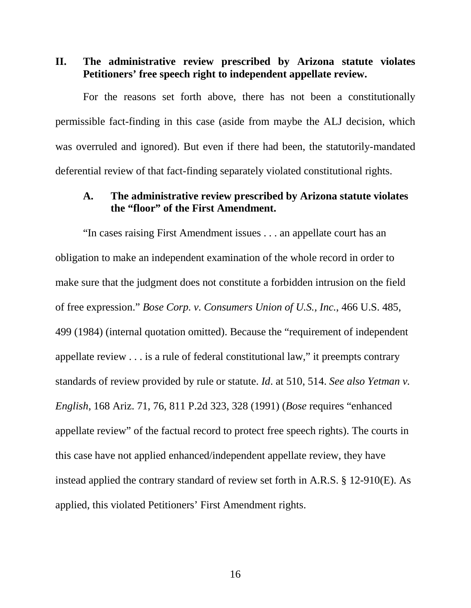**II. The administrative review prescribed by Arizona statute violates Petitioners' free speech right to independent appellate review.**

For the reasons set forth above, there has not been a constitutionally permissible fact-finding in this case (aside from maybe the ALJ decision, which was overruled and ignored). But even if there had been, the statutorily-mandated deferential review of that fact-finding separately violated constitutional rights.

### **A. The administrative review prescribed by Arizona statute violates the "floor" of the First Amendment.**

"In cases raising First Amendment issues . . . an appellate court has an obligation to make an independent examination of the whole record in order to make sure that the judgment does not constitute a forbidden intrusion on the field of free expression." *Bose Corp. v. Consumers Union of U.S., Inc.*, 466 U.S. 485, 499 (1984) (internal quotation omitted). Because the "requirement of independent appellate review . . . is a rule of federal constitutional law," it preempts contrary standards of review provided by rule or statute. *Id*. at 510, 514. *See also Yetman v. English*, 168 Ariz. 71, 76, 811 P.2d 323, 328 (1991) (*Bose* requires "enhanced appellate review" of the factual record to protect free speech rights). The courts in this case have not applied enhanced/independent appellate review, they have instead applied the contrary standard of review set forth in A.R.S. § 12-910(E). As applied, this violated Petitioners' First Amendment rights.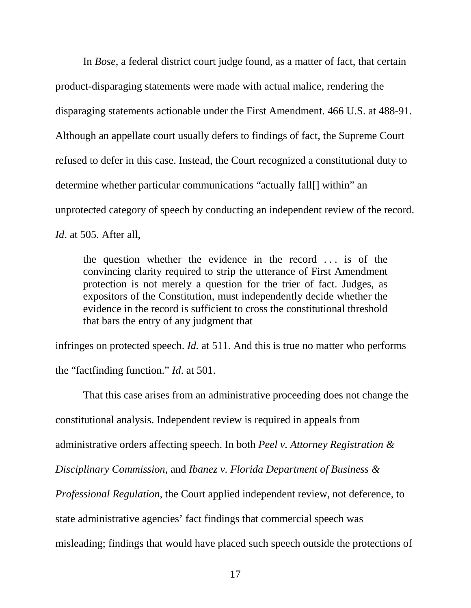In *Bose*, a federal district court judge found, as a matter of fact, that certain product-disparaging statements were made with actual malice, rendering the disparaging statements actionable under the First Amendment. 466 U.S. at 488-91. Although an appellate court usually defers to findings of fact, the Supreme Court refused to defer in this case. Instead, the Court recognized a constitutional duty to determine whether particular communications "actually fall[] within" an unprotected category of speech by conducting an independent review of the record. *Id*. at 505. After all,

the question whether the evidence in the record . . . is of the convincing clarity required to strip the utterance of First Amendment protection is not merely a question for the trier of fact. Judges, as expositors of the Constitution, must independently decide whether the evidence in the record is sufficient to cross the constitutional threshold that bars the entry of any judgment that

infringes on protected speech. *Id.* at 511. And this is true no matter who performs the "factfinding function." *Id*. at 501.

That this case arises from an administrative proceeding does not change the constitutional analysis. Independent review is required in appeals from administrative orders affecting speech. In both *Peel v. Attorney Registration & Disciplinary Commission*, and *Ibanez v. Florida Department of Business & Professional Regulation*, the Court applied independent review, not deference, to state administrative agencies' fact findings that commercial speech was misleading; findings that would have placed such speech outside the protections of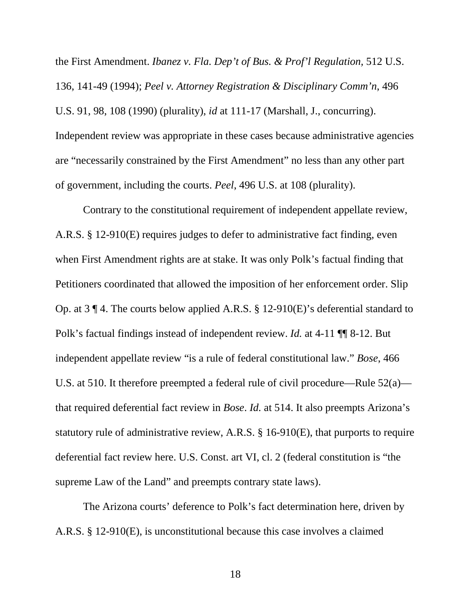the First Amendment. *Ibanez v. Fla. Dep't of Bus. & Prof'l Regulation,* 512 U.S. 136, 141-49 (1994); *Peel v. Attorney Registration & Disciplinary Comm'n*, 496 U.S. 91, 98, 108 (1990) (plurality), *id* at 111-17 (Marshall, J., concurring). Independent review was appropriate in these cases because administrative agencies are "necessarily constrained by the First Amendment" no less than any other part of government, including the courts. *Peel*, 496 U.S. at 108 (plurality).

Contrary to the constitutional requirement of independent appellate review, A.R.S. § 12-910(E) requires judges to defer to administrative fact finding, even when First Amendment rights are at stake. It was only Polk's factual finding that Petitioners coordinated that allowed the imposition of her enforcement order. Slip Op. at 3 ¶ 4. The courts below applied A.R.S. § 12-910(E)'s deferential standard to Polk's factual findings instead of independent review. *Id.* at 4-11 ¶¶ 8-12. But independent appellate review "is a rule of federal constitutional law." *Bose*, 466 U.S. at 510. It therefore preempted a federal rule of civil procedure—Rule 52(a) that required deferential fact review in *Bose*. *Id.* at 514. It also preempts Arizona's statutory rule of administrative review, A.R.S. § 16-910(E), that purports to require deferential fact review here. U.S. Const. art VI, cl. 2 (federal constitution is "the supreme Law of the Land" and preempts contrary state laws).

The Arizona courts' deference to Polk's fact determination here, driven by A.R.S. § 12-910(E), is unconstitutional because this case involves a claimed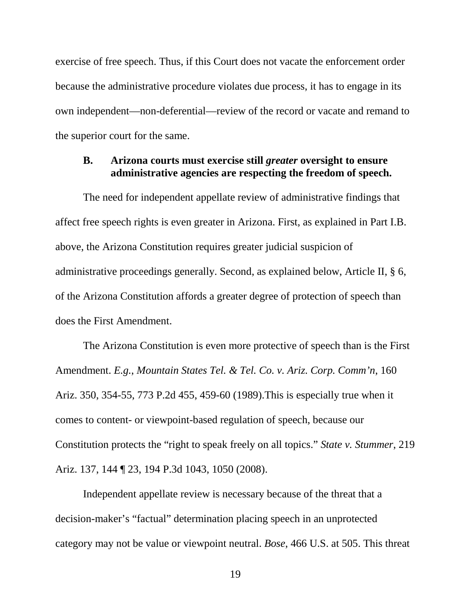exercise of free speech. Thus, if this Court does not vacate the enforcement order because the administrative procedure violates due process, it has to engage in its own independent—non-deferential—review of the record or vacate and remand to the superior court for the same.

### **B. Arizona courts must exercise still** *greater* **oversight to ensure administrative agencies are respecting the freedom of speech.**

The need for independent appellate review of administrative findings that affect free speech rights is even greater in Arizona. First, as explained in Part I.B. above, the Arizona Constitution requires greater judicial suspicion of administrative proceedings generally. Second, as explained below, Article II, § 6, of the Arizona Constitution affords a greater degree of protection of speech than does the First Amendment.

The Arizona Constitution is even more protective of speech than is the First Amendment. *E.g.*, *Mountain States Tel. & Tel. Co. v. Ariz. Corp. Comm'n*, 160 Ariz. 350, 354-55, 773 P.2d 455, 459-60 (1989).This is especially true when it comes to content- or viewpoint-based regulation of speech, because our Constitution protects the "right to speak freely on all topics." *State v. Stummer*, 219 Ariz. 137, 144 ¶ 23, 194 P.3d 1043, 1050 (2008).

Independent appellate review is necessary because of the threat that a decision-maker's "factual" determination placing speech in an unprotected category may not be value or viewpoint neutral. *Bose*, 466 U.S. at 505. This threat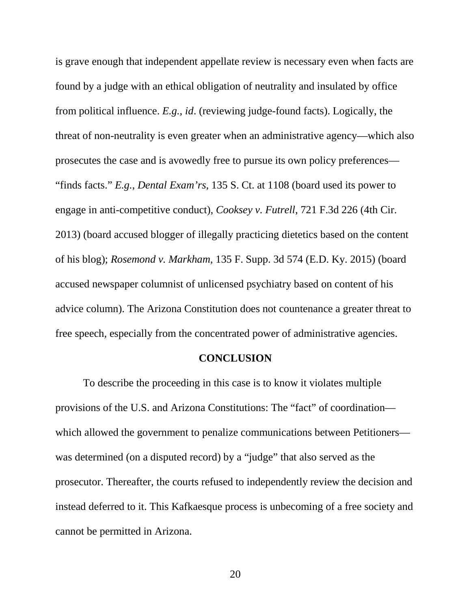is grave enough that independent appellate review is necessary even when facts are found by a judge with an ethical obligation of neutrality and insulated by office from political influence. *E.g.*, *id*. (reviewing judge-found facts). Logically, the threat of non-neutrality is even greater when an administrative agency—which also prosecutes the case and is avowedly free to pursue its own policy preferences— "finds facts." *E.g.*, *Dental Exam'rs*, 135 S. Ct. at 1108 (board used its power to engage in anti-competitive conduct), *Cooksey v. Futrell*, 721 F.3d 226 (4th Cir. 2013) (board accused blogger of illegally practicing dietetics based on the content of his blog); *Rosemond v. Markham*, 135 F. Supp. 3d 574 (E.D. Ky. 2015) (board accused newspaper columnist of unlicensed psychiatry based on content of his advice column). The Arizona Constitution does not countenance a greater threat to free speech, especially from the concentrated power of administrative agencies.

#### **CONCLUSION**

To describe the proceeding in this case is to know it violates multiple provisions of the U.S. and Arizona Constitutions: The "fact" of coordination which allowed the government to penalize communications between Petitioners was determined (on a disputed record) by a "judge" that also served as the prosecutor. Thereafter, the courts refused to independently review the decision and instead deferred to it. This Kafkaesque process is unbecoming of a free society and cannot be permitted in Arizona.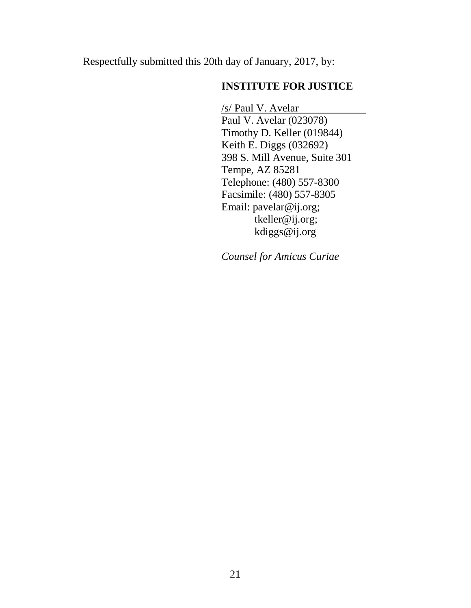Respectfully submitted this 20th day of January, 2017, by:

## **INSTITUTE FOR JUSTICE**

/s/ Paul V. Avelar Paul V. Avelar (023078) Timothy D. Keller (019844) Keith E. Diggs (032692) 398 S. Mill Avenue, Suite 301 Tempe, AZ 85281 Telephone: (480) 557-8300 Facsimile: (480) 557-8305 Email: [pavelar@ij.org;](mailto:pavelar@ij.org) [tkeller@ij.org;](mailto:tkeller@ij.org) kdiggs@ij.org

*Counsel for Amicus Curiae*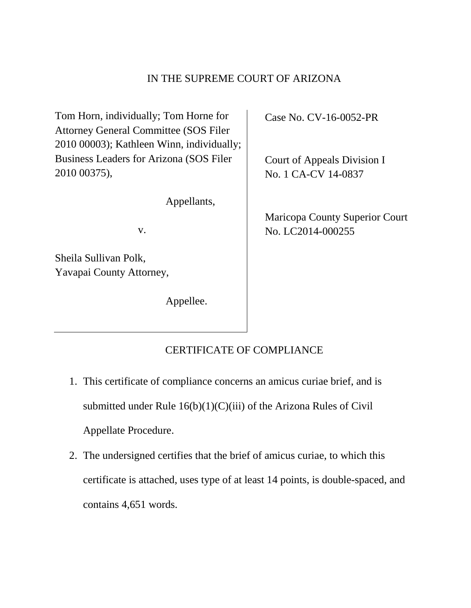### IN THE SUPREME COURT OF ARIZONA

Tom Horn, individually; Tom Horne for Attorney General Committee (SOS Filer 2010 00003); Kathleen Winn, individually; Business Leaders for Arizona (SOS Filer 2010 00375),

Appellants,

v.

Sheila Sullivan Polk, Yavapai County Attorney,

Appellee.

Case No. CV-16-0052-PR

Court of Appeals Division I No. 1 CA-CV 14-0837

Maricopa County Superior Court No. LC2014-000255

## CERTIFICATE OF COMPLIANCE

- 1. This certificate of compliance concerns an amicus curiae brief, and is submitted under Rule  $16(b)(1)(C)(iii)$  of the Arizona Rules of Civil Appellate Procedure.
- 2. The undersigned certifies that the brief of amicus curiae, to which this certificate is attached, uses type of at least 14 points, is double-spaced, and contains 4,651 words.